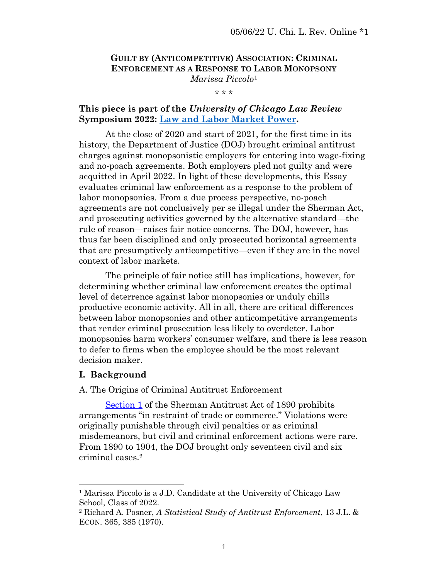# **GUILT BY (ANTICOMPETITIVE) ASSOCIATION: CRIMINAL ENFORCEMENT AS A RESPONSE TO LABOR MONOPSONY** *Marissa Piccolo*<sup>1</sup>

\* \* \*

## **This piece is part of the** *University of Chicago Law Review* **Symposium 2022: [Law and Labor Market Power.](https://www.law.uchicago.edu/events/law-review-symposium-2022-law-and-labor-market-power)**

At the close of 2020 and start of 2021, for the first time in its history, the Department of Justice (DOJ) brought criminal antitrust charges against monopsonistic employers for entering into wage-fixing and no-poach agreements. Both employers pled not guilty and were acquitted in April 2022. In light of these developments, this Essay evaluates criminal law enforcement as a response to the problem of labor monopsonies. From a due process perspective, no-poach agreements are not conclusively per se illegal under the Sherman Act, and prosecuting activities governed by the alternative standard—the rule of reason—raises fair notice concerns. The DOJ, however, has thus far been disciplined and only prosecuted horizontal agreements that are presumptively anticompetitive—even if they are in the novel context of labor markets.

The principle of fair notice still has implications, however, for determining whether criminal law enforcement creates the optimal level of deterrence against labor monopsonies or unduly chills productive economic activity. All in all, there are critical differences between labor monopsonies and other anticompetitive arrangements that render criminal prosecution less likely to overdeter. Labor monopsonies harm workers' consumer welfare, and there is less reason to defer to firms when the employee should be the most relevant decision maker.

#### **I. Background**

A. The Origins of Criminal Antitrust Enforcement

[Section](https://www.law.cornell.edu/uscode/text/15/1) 1 of the Sherman Antitrust Act of 1890 prohibits arrangements "in restraint of trade or commerce." Violations were originally punishable through civil penalties or as criminal misdemeanors, but civil and criminal enforcement actions were rare. From 1890 to 1904, the DOJ brought only seventeen civil and six criminal cases.<sup>2</sup>

<sup>&</sup>lt;sup>1</sup> Marissa Piccolo is a J.D. Candidate at the University of Chicago Law School, Class of 2022.

<sup>2</sup> Richard A. Posner, *A Statistical Study of Antitrust Enforcement*, 13 J.L. & ECON. 365, 385 (1970).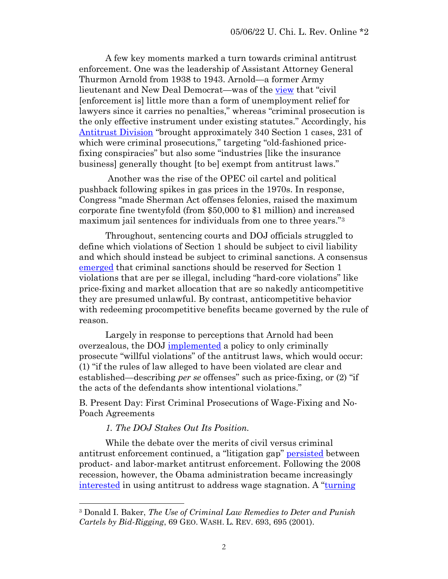A few key moments marked a turn towards criminal antitrust enforcement. One was the leadership of Assistant Attorney General Thurmon Arnold from 1938 to 1943. Arnold—a former Army lieutenant and New Deal Democrat—was of the [view](https://perma.cc/49KW-XS25) that "civil" [enforcement is] little more than a form of unemployment relief for lawyers since it carries no penalties," whereas "criminal prosecution is the only effective instrument under existing statutes." Accordingly, his [Antitrust Division](https://perma.cc/YWZ3-WCJY) "brought approximately 340 Section 1 cases, 231 of which were criminal prosecutions," targeting "old-fashioned pricefixing conspiracies" but also some "industries [like the insurance business] generally thought [to be] exempt from antitrust laws."

Another was the rise of the OPEC oil cartel and political pushback following spikes in gas prices in the 1970s. In response, Congress "made Sherman Act offenses felonies, raised the maximum corporate fine twentyfold (from \$50,000 to \$1 million) and increased maximum jail sentences for individuals from one to three years."<sup>3</sup>

Throughout, sentencing courts and DOJ officials struggled to define which violations of Section 1 should be subject to civil liability and which should instead be subject to criminal sanctions. A consensus [emerged](https://perma.cc/YWZ3-WCJY) that criminal sanctions should be reserved for Section 1 violations that are per se illegal, including "hard-core violations" like price-fixing and market allocation that are so nakedly anticompetitive they are presumed unlawful. By contrast, anticompetitive behavior with redeeming procompetitive benefits became governed by the rule of reason.

Largely in response to perceptions that Arnold had been overzealous, the DOJ [implemented](https://perma.cc/H4T8-A26Y) a policy to only criminally prosecute "willful violations" of the antitrust laws, which would occur: (1) "if the rules of law alleged to have been violated are clear and established—describing *per se* offenses" such as price-fixing, or (2) "if the acts of the defendants show intentional violations."

B. Present Day: First Criminal Prosecutions of Wage-Fixing and No-Poach Agreements

## *1. The DOJ Stakes Out Its Position.*

While the debate over the merits of civil versus criminal antitrust enforcement continued, a "litigation gap" [persisted](https://perma.cc/AVA4-Q3HX) between product- and labor-market antitrust enforcement. Following the 2008 recession, however, the Obama administration became increasingly [interested](https://perma.cc/E3SG-L8H9) in using antitrust to address wage stagnation. A "[turning](https://perma.cc/4MNE-PEYD) 

<sup>3</sup> Donald I. Baker, *The Use of Criminal Law Remedies to Deter and Punish Cartels by Bid-Rigging*, 69 GEO. WASH. L. REV. 693, 695 (2001).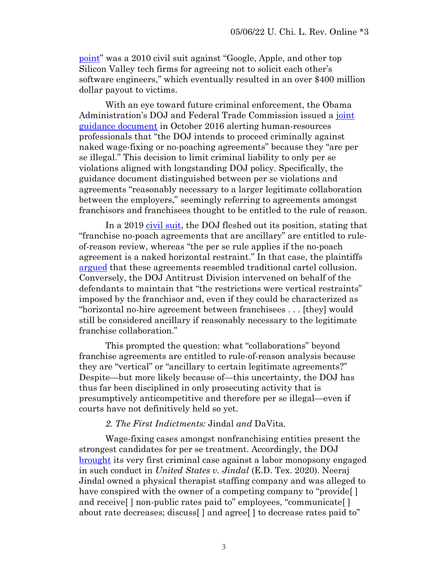[point](https://perma.cc/4MNE-PEYD)" was a 2010 civil suit against "Google, Apple, and other top Silicon Valley tech firms for agreeing not to solicit each other's software engineers," which eventually resulted in an over \$400 million dollar payout to victims.

With an eye toward future criminal enforcement, the Obama Administration's DOJ and Federal Trade Commission issued a [joint](https://perma.cc/J626-JRSR)  [guidance document](https://perma.cc/J626-JRSR) in October 2016 alerting human-resources professionals that "the DOJ intends to proceed criminally against naked wage-fixing or no-poaching agreements" because they "are per se illegal." This decision to limit criminal liability to only per se violations aligned with longstanding DOJ policy. Specifically, the guidance document distinguished between per se violations and agreements "reasonably necessary to a larger legitimate collaboration between the employers," seemingly referring to agreements amongst franchisors and franchisees thought to be entitled to the rule of reason.

In a 2019 [civil suit,](https://perma.cc/N3KF-UF45) the DOJ fleshed out its position, stating that "franchise no-poach agreements that are ancillary" are entitled to ruleof-reason review, whereas "the per se rule applies if the no-poach agreement is a naked horizontal restraint." In that case, the plaintiffs [argued](https://perma.cc/CVA4-S99E) that these agreements resembled traditional cartel collusion. Conversely, the DOJ Antitrust Division intervened on behalf of the defendants to maintain that "the restrictions were vertical restraints" imposed by the franchisor and, even if they could be characterized as "horizontal no-hire agreement between franchisees . . . [they] would still be considered ancillary if reasonably necessary to the legitimate franchise collaboration."

This prompted the question: what "collaborations" beyond franchise agreements are entitled to rule-of-reason analysis because they are "vertical" or "ancillary to certain legitimate agreements?" Despite—but more likely because of—this uncertainty, the DOJ has thus far been disciplined in only prosecuting activity that is presumptively anticompetitive and therefore per se illegal—even if courts have not definitively held so yet.

#### *2. The First Indictments:* Jindal *and* DaVita*.*

Wage-fixing cases amongst nonfranchising entities present the strongest candidates for per se treatment. Accordingly, the DOJ [brought](https://perma.cc/T7GN-T9RD) its very first criminal case against a labor monopsony engaged in such conduct in *United States v. Jindal* (E.D. Tex. 2020). Neeraj Jindal owned a physical therapist staffing company and was alleged to have conspired with the owner of a competing company to "provide. and receive<sup>[]</sup> non-public rates paid to" employees, "communicate<sup>[]</sup> about rate decreases; discuss[ ] and agree[ ] to decrease rates paid to"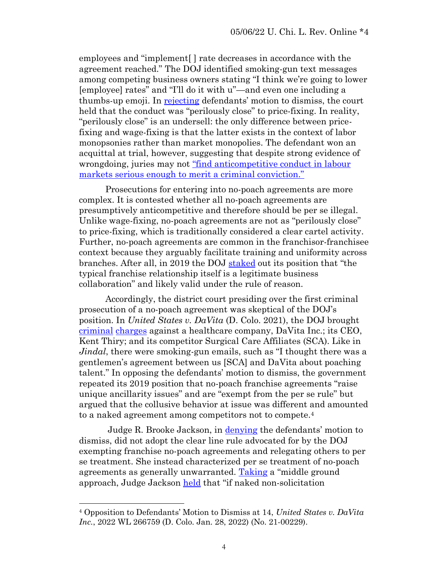employees and "implement[ ] rate decreases in accordance with the agreement reached." The DOJ identified smoking-gun text messages among competing business owners stating "I think we're going to lower [employee] rates" and "I'll do it with u"—and even one including a thumbs-up emoji. In [rejecting](https://perma.cc/5UJM-TDJV) defendants' motion to dismiss, the court held that the conduct was "perilously close" to price-fixing. In reality, "perilously close" is an undersell: the only difference between pricefixing and wage-fixing is that the latter exists in the context of labor monopsonies rather than market monopolies. The defendant won an acquittal at trial, however, suggesting that despite strong evidence of wrongdoing, juries may not ["find anticompetitive conduct in labour](https://globalcompetitionreview.com/gcr-usa/department-of-justice/jindal-gives-first-look-jury-views-labour-market-cases?utm_source=Jindal%2Bgives%2Bfirst%2Blook%2Binto%2Bjury%2Bviews%2Bon%2Blabour%2Bmarket%2Bcases&utm_medium=email&utm_campaign=GCR%2BUSA%2BBriefing)  [markets serious enough to merit a criminal conviction."](https://globalcompetitionreview.com/gcr-usa/department-of-justice/jindal-gives-first-look-jury-views-labour-market-cases?utm_source=Jindal%2Bgives%2Bfirst%2Blook%2Binto%2Bjury%2Bviews%2Bon%2Blabour%2Bmarket%2Bcases&utm_medium=email&utm_campaign=GCR%2BUSA%2BBriefing)

Prosecutions for entering into no-poach agreements are more complex. It is contested whether all no-poach agreements are presumptively anticompetitive and therefore should be per se illegal. Unlike wage-fixing, no-poach agreements are not as "perilously close" to price-fixing, which is traditionally considered a clear cartel activity. Further, no-poach agreements are common in the franchisor-franchisee context because they arguably facilitate training and uniformity across branches. After all, in 2019 the DOJ [staked](https://perma.cc/N3KF-UF45) out its position that "the typical franchise relationship itself is a legitimate business collaboration" and likely valid under the rule of reason.

Accordingly, the district court presiding over the first criminal prosecution of a no-poach agreement was skeptical of the DOJ's position. In *United States v. DaVita* (D. Colo. 2021), the DOJ brought [criminal](https://perma.cc/8MFE-3ZDV) [charges](https://perma.cc/S7HR-UQ86) against a healthcare company, DaVita Inc.; its CEO, Kent Thiry; and its competitor Surgical Care Affiliates (SCA). Like in *Jindal*, there were smoking-gun emails, such as "I thought there was a gentlemen's agreement between us [SCA] and DaVita about poaching talent." In opposing the defendants' motion to dismiss, the government repeated its 2019 position that no-poach franchise agreements "raise unique ancillarity issues" and are "exempt from the per se rule" but argued that the collusive behavior at issue was different and amounted to a naked agreement among competitors not to compete.<sup>4</sup>

Judge R. Brooke Jackson, in <u>denying</u> the defendants' motion to dismiss, did not adopt the clear line rule advocated for by the DOJ exempting franchise no-poach agreements and relegating others to per se treatment. She instead characterized per se treatment of no-poach agreements as generally unwarranted. [Taking](https://perma.cc/B5UX-SNJG) a "middle ground approach, Judge Jackson [held](https://perma.cc/TR73-LSDM) that "if naked non-solicitation

<sup>4</sup> Opposition to Defendants' Motion to Dismiss at 14, *United States v. DaVita Inc.*, 2022 WL 266759 (D. Colo. Jan. 28, 2022) (No. 21-00229).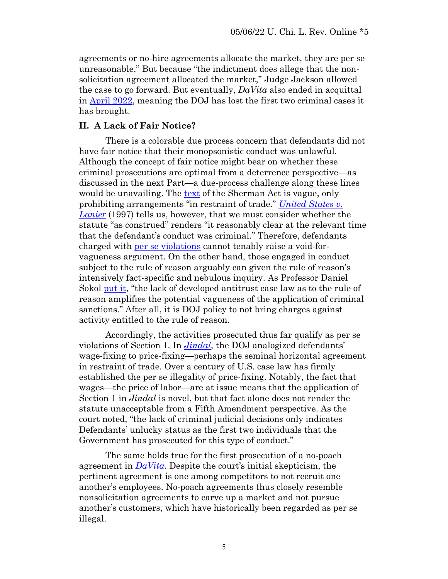agreements or no-hire agreements allocate the market, they are per se unreasonable." But because "the indictment does allege that the nonsolicitation agreement allocated the market," Judge Jackson allowed the case to go forward. But eventually, *DaVita* also ended in acquittal in [April 2022,](https://www.reuters.com/business/healthcare-pharmaceuticals/davita-its-former-ceo-acquitted-antitrust-charges-2022-04-15/) meaning the DOJ has lost the first two criminal cases it has brought.

## **II. A Lack of Fair Notice?**

There is a colorable due process concern that defendants did not have fair notice that their monopsonistic conduct was unlawful. Although the concept of fair notice might bear on whether these criminal prosecutions are optimal from a deterrence perspective—as discussed in the next Part—a due-process challenge along these lines would be unavailing. The [text](https://www.law.cornell.edu/uscode/text/15/1) of the Sherman Act is vague, only prohibiting arrangements "in restraint of trade." *[United States v.](https://perma.cc/A8DV-G8RJ)  [Lanier](https://perma.cc/A8DV-G8RJ)* (1997) tells us, however, that we must consider whether the statute "as construed" renders "it reasonably clear at the relevant time that the defendant's conduct was criminal." Therefore, defendants charged with per se [violations](https://perma.cc/6GMA-5EDV) cannot tenably raise a void-forvagueness argument. On the other hand, those engaged in conduct subject to the rule of reason arguably can given the rule of reason's intensively fact-specific and nebulous inquiry. As Professor Daniel Sokol [put it](https://perma.cc/396P-C4DZ), "the lack of developed antitrust case law as to the rule of reason amplifies the potential vagueness of the application of criminal sanctions." After all, it is DOJ policy to not bring charges against activity entitled to the rule of reason.

Accordingly, the activities prosecuted thus far qualify as per se violations of Section 1. In *[Jindal](https://perma.cc/5UJM-TDJV)*, the DOJ analogized defendants' wage-fixing to price-fixing—perhaps the seminal horizontal agreement in restraint of trade. Over a century of U.S. case law has firmly established the per se illegality of price-fixing. Notably, the fact that wages—the price of labor—are at issue means that the application of Section 1 in *Jindal* is novel, but that fact alone does not render the statute unacceptable from a Fifth Amendment perspective. As the court noted, "the lack of criminal judicial decisions only indicates Defendants' unlucky status as the first two individuals that the Government has prosecuted for this type of conduct."

The same holds true for the first prosecution of a no-poach agreement in *[DaVita](https://perma.cc/TR73-LSDM)*. Despite the court's initial skepticism, the pertinent agreement is one among competitors to not recruit one another's employees. No-poach agreements thus closely resemble nonsolicitation agreements to carve up a market and not pursue another's customers, which have historically been regarded as per se illegal.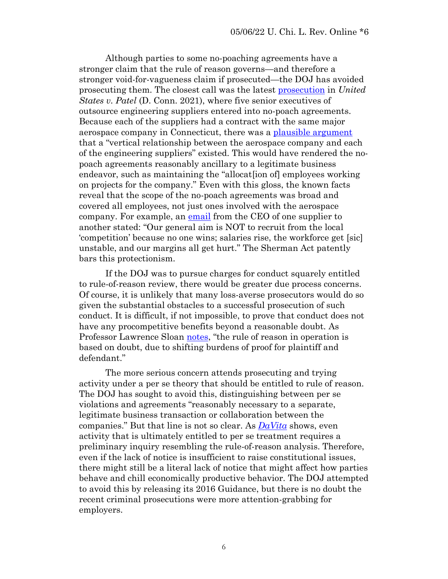Although parties to some no-poaching agreements have a stronger claim that the rule of reason governs—and therefore a stronger void-for-vagueness claim if prosecuted—the DOJ has avoided prosecuting them. The closest call was the latest [prosecution](https://perma.cc/36B7-CZW4) in *United States v. Patel* (D. Conn. 2021), where five senior executives of outsource engineering suppliers entered into no-poach agreements. Because each of the suppliers had a contract with the same major aerospace company in Connecticut, there was a [plausible argument](https://perma.cc/B5UX-SNJG) that a "vertical relationship between the aerospace company and each of the engineering suppliers" existed. This would have rendered the nopoach agreements reasonably ancillary to a legitimate business endeavor, such as maintaining the "allocat[ion of] employees working on projects for the company." Even with this gloss, the known facts reveal that the scope of the no-poach agreements was broad and covered all employees, not just ones involved with the aerospace company. For example, an [email](https://perma.cc/36B7-CZW4) from the CEO of one supplier to another stated: "Our general aim is NOT to recruit from the local 'competition' because no one wins; salaries rise, the workforce get [sic] unstable, and our margins all get hurt." The Sherman Act patently bars this protectionism.

If the DOJ was to pursue charges for conduct squarely entitled to rule-of-reason review, there would be greater due process concerns. Of course, it is unlikely that many loss-averse prosecutors would do so given the substantial obstacles to a successful prosecution of such conduct. It is difficult, if not impossible, to prove that conduct does not have any procompetitive benefits beyond a reasonable doubt. As Professor Lawrence Sloan [notes](https://perma.cc/U29Z-QTSX), "the rule of reason in operation is based on doubt, due to shifting burdens of proof for plaintiff and defendant."

The more serious concern attends prosecuting and trying activity under a per se theory that should be entitled to rule of reason. The DOJ has sought to avoid this, distinguishing between per se violations and agreements "reasonably necessary to a separate, legitimate business transaction or collaboration between the companies." But that line is not so clear. As *[DaVita](https://perma.cc/TR73-LSDM)* shows, even activity that is ultimately entitled to per se treatment requires a preliminary inquiry resembling the rule-of-reason analysis. Therefore, even if the lack of notice is insufficient to raise constitutional issues, there might still be a literal lack of notice that might affect how parties behave and chill economically productive behavior. The DOJ attempted to avoid this by releasing its 2016 Guidance, but there is no doubt the recent criminal prosecutions were more attention-grabbing for employers.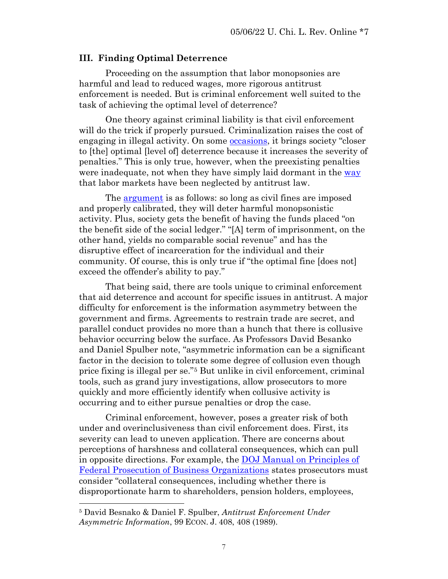# **III. Finding Optimal Deterrence**

Proceeding on the assumption that labor monopsonies are harmful and lead to reduced wages, more rigorous antitrust enforcement is needed. But is criminal enforcement well suited to the task of achieving the optimal level of deterrence?

One theory against criminal liability is that civil enforcement will do the trick if properly pursued. Criminalization raises the cost of engaging in illegal activity. On some <u>occasions</u>, it brings society "closer to [the] optimal [level of] deterrence because it increases the severity of penalties." This is only true, however, when the preexisting penalties were inadequate, not when they have simply laid dormant in the [way](https://perma.cc/4MNE-PEYD) that labor markets have been neglected by antitrust law.

The [argument](https://perma.cc/X8L4-3R5L) is as follows: so long as civil fines are imposed and properly calibrated, they will deter harmful monopsonistic activity. Plus, society gets the benefit of having the funds placed "on the benefit side of the social ledger." "[A] term of imprisonment, on the other hand, yields no comparable social revenue" and has the disruptive effect of incarceration for the individual and their community. Of course, this is only true if "the optimal fine [does not] exceed the offender's ability to pay."

That being said, there are tools unique to criminal enforcement that aid deterrence and account for specific issues in antitrust. A major difficulty for enforcement is the information asymmetry between the government and firms. Agreements to restrain trade are secret, and parallel conduct provides no more than a hunch that there is collusive behavior occurring below the surface. As Professors David Besanko and Daniel Spulber note, "asymmetric information can be a significant factor in the decision to tolerate some degree of collusion even though price fixing is illegal per se."<sup>5</sup> But unlike in civil enforcement, criminal tools, such as grand jury investigations, allow prosecutors to more quickly and more efficiently identify when collusive activity is occurring and to either pursue penalties or drop the case.

Criminal enforcement, however, poses a greater risk of both under and overinclusiveness than civil enforcement does. First, its severity can lead to uneven application. There are concerns about perceptions of harshness and collateral consequences, which can pull in opposite directions. For example, the [DOJ Manual on Principles of](https://www.justice.gov/jm/jm-9-28000-principles-federal-prosecution-business-organizations)  [Federal Prosecution of Business Organizations](https://www.justice.gov/jm/jm-9-28000-principles-federal-prosecution-business-organizations) states prosecutors must consider "collateral consequences, including whether there is disproportionate harm to shareholders, pension holders, employees,

<sup>5</sup> David Besnako & Daniel F. Spulber, *Antitrust Enforcement Under Asymmetric Information*, 99 ECON. J. 408, 408 (1989).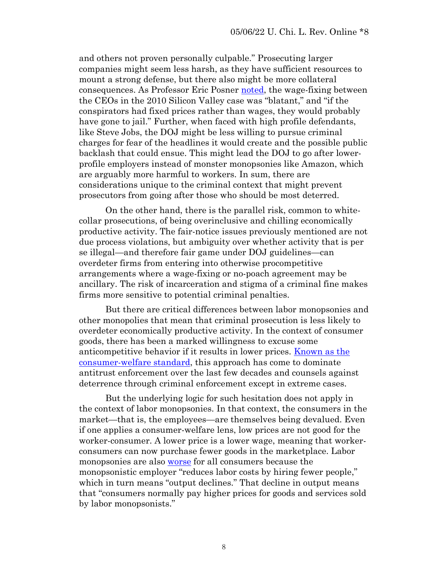and others not proven personally culpable." Prosecuting larger companies might seem less harsh, as they have sufficient resources to mount a strong defense, but there also might be more collateral consequences. As Professor Eric Posner [noted,](https://perma.cc/4MNE-PEYD) the wage-fixing between the CEOs in the 2010 Silicon Valley case was "blatant," and "if the conspirators had fixed prices rather than wages, they would probably have gone to jail." Further, when faced with high profile defendants, like Steve Jobs, the DOJ might be less willing to pursue criminal charges for fear of the headlines it would create and the possible public backlash that could ensue. This might lead the DOJ to go after lowerprofile employers instead of monster monopsonies like Amazon, which are arguably more harmful to workers. In sum, there are considerations unique to the criminal context that might prevent prosecutors from going after those who should be most deterred.

On the other hand, there is the parallel risk, common to whitecollar prosecutions, of being overinclusive and chilling economically productive activity. The fair-notice issues previously mentioned are not due process violations, but ambiguity over whether activity that is per se illegal—and therefore fair game under DOJ guidelines—can overdeter firms from entering into otherwise procompetitive arrangements where a wage-fixing or no-poach agreement may be ancillary. The risk of incarceration and stigma of a criminal fine makes firms more sensitive to potential criminal penalties.

But there are critical differences between labor monopsonies and other monopolies that mean that criminal prosecution is less likely to overdeter economically productive activity. In the context of consumer goods, there has been a marked willingness to excuse some anticompetitive behavior if it results in lower prices. Known as the [consumer-welfare standard,](https://perma.cc/8U43-VPYS) this approach has come to dominate antitrust enforcement over the last few decades and counsels against deterrence through criminal enforcement except in extreme cases.

But the underlying logic for such hesitation does not apply in the context of labor monopsonies. In that context, the consumers in the market—that is, the employees—are themselves being devalued. Even if one applies a consumer-welfare lens, low prices are not good for the worker-consumer. A lower price is a lower wage, meaning that workerconsumers can now purchase fewer goods in the marketplace. Labor monopsonies are also [worse](https://perma.cc/4MNE-PEYD) for all consumers because the monopsonistic employer "reduces labor costs by hiring fewer people," which in turn means "output declines." That decline in output means that "consumers normally pay higher prices for goods and services sold by labor monopsonists."